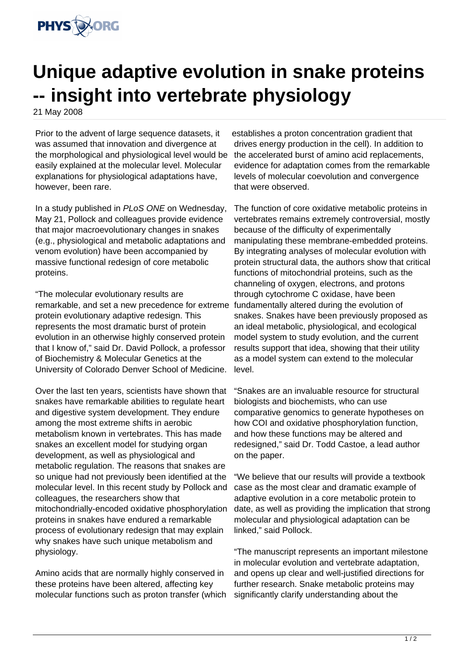

## **Unique adaptive evolution in snake proteins -- insight into vertebrate physiology**

21 May 2008

Prior to the advent of large sequence datasets, it was assumed that innovation and divergence at the morphological and physiological level would be easily explained at the molecular level. Molecular explanations for physiological adaptations have, however, been rare.

In a study published in PLoS ONE on Wednesday, May 21, Pollock and colleagues provide evidence that major macroevolutionary changes in snakes (e.g., physiological and metabolic adaptations and venom evolution) have been accompanied by massive functional redesign of core metabolic proteins.

"The molecular evolutionary results are remarkable, and set a new precedence for extreme fundamentally altered during the evolution of protein evolutionary adaptive redesign. This represents the most dramatic burst of protein evolution in an otherwise highly conserved protein that I know of," said Dr. David Pollock, a professor of Biochemistry & Molecular Genetics at the University of Colorado Denver School of Medicine.

Over the last ten years, scientists have shown that snakes have remarkable abilities to regulate heart and digestive system development. They endure among the most extreme shifts in aerobic metabolism known in vertebrates. This has made snakes an excellent model for studying organ development, as well as physiological and metabolic regulation. The reasons that snakes are so unique had not previously been identified at the molecular level. In this recent study by Pollock and colleagues, the researchers show that mitochondrially-encoded oxidative phosphorylation proteins in snakes have endured a remarkable process of evolutionary redesign that may explain why snakes have such unique metabolism and physiology.

Amino acids that are normally highly conserved in these proteins have been altered, affecting key molecular functions such as proton transfer (which

establishes a proton concentration gradient that drives energy production in the cell). In addition to the accelerated burst of amino acid replacements, evidence for adaptation comes from the remarkable levels of molecular coevolution and convergence that were observed.

The function of core oxidative metabolic proteins in vertebrates remains extremely controversial, mostly because of the difficulty of experimentally manipulating these membrane-embedded proteins. By integrating analyses of molecular evolution with protein structural data, the authors show that critical functions of mitochondrial proteins, such as the channeling of oxygen, electrons, and protons through cytochrome C oxidase, have been snakes. Snakes have been previously proposed as an ideal metabolic, physiological, and ecological model system to study evolution, and the current results support that idea, showing that their utility as a model system can extend to the molecular level.

"Snakes are an invaluable resource for structural biologists and biochemists, who can use comparative genomics to generate hypotheses on how COI and oxidative phosphorylation function, and how these functions may be altered and redesigned," said Dr. Todd Castoe, a lead author on the paper.

"We believe that our results will provide a textbook case as the most clear and dramatic example of adaptive evolution in a core metabolic protein to date, as well as providing the implication that strong molecular and physiological adaptation can be linked," said Pollock.

"The manuscript represents an important milestone in molecular evolution and vertebrate adaptation, and opens up clear and well-justified directions for further research. Snake metabolic proteins may significantly clarify understanding about the